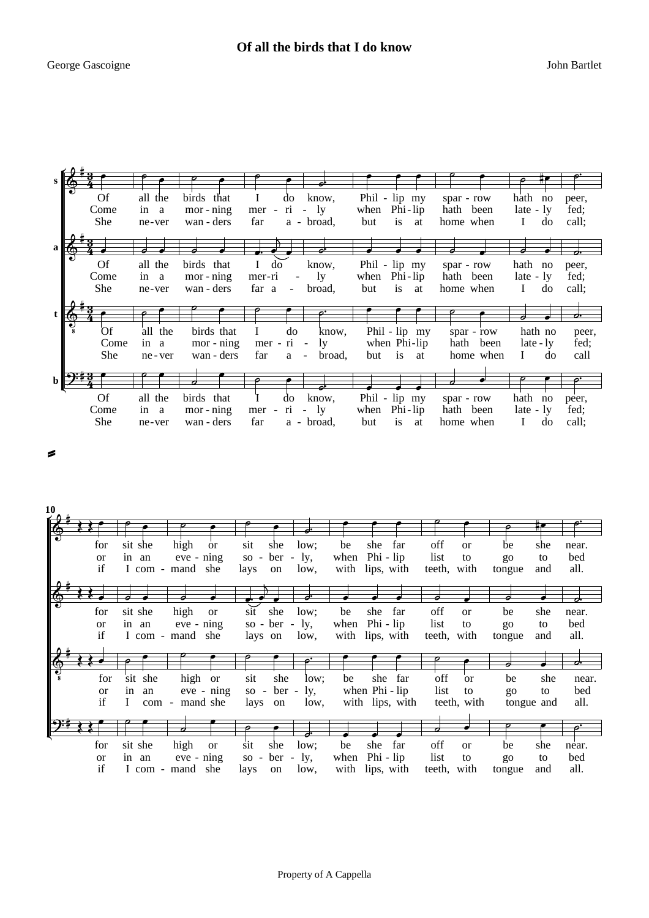|   | <b>Of</b><br>Come        | all the<br>in a             | birds that<br>mor - ning                 | know,<br>do<br>$-1y$<br>ri<br>mer -                                                    | Phil - lip my<br>when Phi-lip                         | spar - row<br>hath been              | hath no<br>peer,<br>$late - ly$<br>fed;                                   |
|---|--------------------------|-----------------------------|------------------------------------------|----------------------------------------------------------------------------------------|-------------------------------------------------------|--------------------------------------|---------------------------------------------------------------------------|
| a | <b>She</b>               | ne-ver                      | wan - ders                               | a - broad.<br>far<br>P.                                                                | is<br>but<br>at                                       | home when                            | call:<br>$\mathbf{I}$<br>do                                               |
|   | <b>Of</b><br>Come<br>She | all the<br>in a<br>ne-ver   | birds that<br>mor - ning<br>wan - ders   | $\bf{I}$<br>do<br>know,<br>ly.<br>mer-ri<br>$\frac{1}{2}$<br>far a<br>broad,<br>$\sim$ | Phil - lip my<br>Phi - lip<br>when<br>is at<br>but    | spar - row<br>hath been<br>home when | hath no<br>peer,<br>$late - ly$<br>fed:<br>$\mathbf{I}$<br>do<br>call;    |
|   |                          |                             |                                          |                                                                                        |                                                       |                                      | っ                                                                         |
|   | Öf<br>Come<br><b>She</b> | all the<br>in a<br>ne - ver | birds that<br>mor - ning<br>wan - ders   | do<br>L<br>know,<br>mer - ri<br>ly.<br>$\sim$<br>far<br>broad,<br>a<br>$\blacksquare$  | Phil - lip my<br>when Phi-lip<br>is<br>but<br>at      | spar - row<br>hath been<br>home when | hath no<br>peer,<br>fed;<br>late - ly<br>call<br>$\mathbf{I}$<br>do       |
|   |                          |                             |                                          | ▱                                                                                      |                                                       |                                      |                                                                           |
|   | Of<br>Come<br>She        | all the<br>in a<br>ne-ver   | birds that<br>$mor - ning$<br>wan - ders | know,<br>do<br>$-1y$<br>ri<br>mer -<br>a - broad,<br>far                               | Phil - lip my<br>Phi - lip<br>when<br>but<br>is<br>at | spar - row<br>hath been<br>home when | hath<br>no<br>peer,<br>$late - ly$<br>fed;<br>$\mathbf{I}$<br>do<br>call: |

 $\leq$ 

| 10 |                     |                  |                                |                                       |             |              |                                   |                              |                                |                    |
|----|---------------------|------------------|--------------------------------|---------------------------------------|-------------|--------------|-----------------------------------|------------------------------|--------------------------------|--------------------|
|    |                     |                  |                                |                                       |             |              |                                   |                              |                                |                    |
|    | for                 | sit she          | high<br><b>or</b>              | sit<br>she                            | low;        | be           | she<br>far                        | off<br><sub>or</sub>         | she<br>be                      | near.              |
|    | <sub>or</sub><br>if | in an            | eve - ning<br>I com - mand she | ber<br>$SO -$<br>$\sim$<br>lays<br>on | ly,<br>low, | when<br>with | $Phi - lip$<br>lips, with         | list<br>to<br>teeth, with    | to<br>go<br>tongue<br>and      | bed<br>all.        |
|    |                     |                  |                                |                                       |             |              |                                   |                              |                                | $\sigma$           |
|    | for                 | sit she          | high<br><b>or</b>              | she<br>sit                            | low;        | be           | far<br>she                        | off<br>$\alpha$              | be<br>she                      | near.              |
|    | <b>or</b><br>if     | in an            | eve - ning<br>I com - mand she | so - $ber -$<br>lays on               | ly,<br>low, | when         | Phi - lip<br>with lips, with      | list<br>to<br>teeth, with    | to<br>$g_{O}$<br>tongue<br>and | bed<br>all.        |
|    |                     |                  |                                |                                       |             |              |                                   | ο                            |                                | o.                 |
|    | for                 | sit she          | high<br><sub>or</sub>          | she<br>sit                            | low:        | be           | far<br>she                        | off<br><sub>or</sub>         | she<br>be                      | near.              |
|    | <sub>or</sub><br>if | in<br>an<br>L    | eve - ning<br>com - mand she   | ber -<br>$SO -$<br>lays<br>on         | ly,<br>low, |              | when Phi - lip<br>with lips, with | list<br>to<br>teeth, with    | to<br>$g_{O}$<br>tongue and    | bed<br>all.        |
|    |                     |                  | 77                             |                                       |             |              |                                   | 7                            | ╭                              | $\bm{o}^{\bullet}$ |
|    | for                 | sit she          | high<br><b>or</b>              | sit<br>she                            | low:        | be           | she<br>far                        | off<br><sub>or</sub>         | be<br>she                      | near.              |
|    | <b>or</b><br>if     | in an<br>I com - | $eve - ning$<br>mand she       | $ber - ly,$<br>$SO -$<br>lays<br>on   | low,        | when         | Phi - lip<br>with lips, with      | list<br>to<br>teeth,<br>with | to<br>go<br>and<br>tongue      | bed<br>all.        |